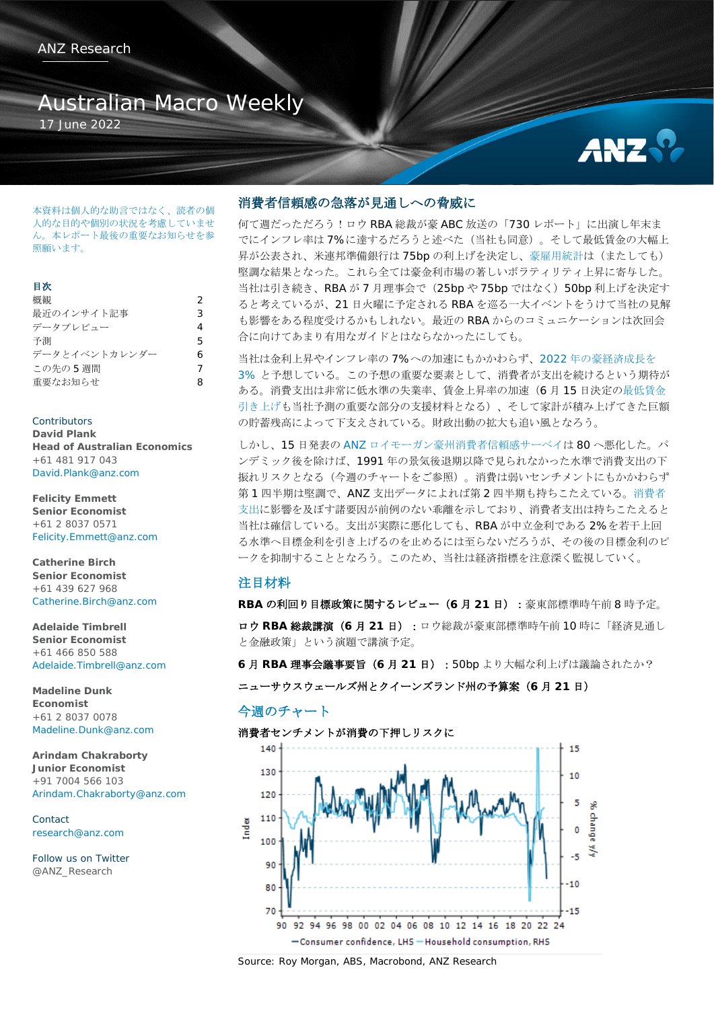# Australian Macro Weekly

17 June 2022



本資料は個人的な助言ではなく、読者の個 人的な目的や個別の状況を考慮していませ ん。本レポート最後の重要なお知らせを参 照願います。

#### 目次

| 概観            | 2 |
|---------------|---|
| 最近のインサイト記事    | 3 |
| データプレビュー      | 4 |
| 予測            | 5 |
| データとイベントカレンダー | 6 |
| この先の5週間       | 7 |
| 重要なお知らせ       | 8 |

Contributors **David Plank Head of Australian Economics** +61 481 917 043 [David.Plank@anz.com](mailto:David.Plank@anz.com)

**Felicity Emmett Senior Economist** +61 2 8037 0571 [Felicity.Emmett@anz.com](mailto:Felicity.Emmett@anz.com)

**Catherine Birch Senior Economist** +61 439 627 968 [Catherine.Birch@anz.com](mailto:Catherine.Birch@anz.com)

**Adelaide Timbrell Senior Economist** +61 466 850 588 [Adelaide.Timbrell@anz.com](mailto:Adelaide.Timbrell@anz.com)

**Madeline Dunk Economist** +61 2 8037 0078 [Madeline.Dunk@anz.com](mailto:Madeline.Dunk@anz.com)

**Arindam Chakraborty Junior Economist** +91 7004 566 103 [Arindam.Chakraborty@anz.com](mailto:Arindam.Chakraborty@anz.com)

Contact [research@anz.com](mailto:research@anz.com)

[Follow us on Twitter](http://twitter.com/ANZ_Research) [@ANZ\\_Research](http://twitter.com/ANZ_Research)

# 消費者信頼感の急落が見通しへの脅威に

何て週だっただろう!ロウ RBA 総裁が豪 ABC 放送の「730 レポート」に出演し年末ま でにインフレ率は 7%に達するだろうと述べた(当社も同意)。そして最低賃金の大幅上 昇が公表され、米連邦準備銀行は 75bp の利上げを決定し[、豪雇用統計は](https://publications.anz.com/SingletrackCMS__DownloadDocument?uid=99702b34-f49e-4c62-b4d0-ba0205338c02&docRef=24211b52-3255-44f4-aaab-54feeb3f5987&jobRef=2ee98cd1-40bb-4cc6-a374-57aaae15f498)(またしても) 堅調な結果となった。これら全ては豪金利市場の著しいボラティリティ上昇に寄与した。 当社は引き続き、RBA が 7 月理事会で(25bp や 75bp ではなく)50bp 利上げを決定す ると考えているが、21 日火曜に予定される RBA を巡る一大イベントをうけて当社の見解 も影響をある程度受けるかもしれない。最近の RBA からのコミュニケーションは次回会 合に向けてあまり有用なガイドとはならなかったにしても。

当社は金利上昇やインフレ率の 7%への加速にもかかわらず、2022 [年の豪経済成長を](https://publications.anz.com/SingletrackCMS__DownloadDocument?uid=99702b34-f49e-4c62-b4d0-ba0205338c02&docRef=3cb3e967-353e-41ce-9b5b-b583c792914d&jobRef=fb853183-63a4-46f8-9eec-cd6effabfd00) [3%](https://publications.anz.com/SingletrackCMS__DownloadDocument?uid=99702b34-f49e-4c62-b4d0-ba0205338c02&docRef=3cb3e967-353e-41ce-9b5b-b583c792914d&jobRef=fb853183-63a4-46f8-9eec-cd6effabfd00) と予想している。この予想の重要な要素として、消費者が支出を続けるという期待が ある。消費支出は非常に低水準の失業率、賃金上昇率の加速(6 月 15 日決定[の最低賃金](https://publications.anz.com/SingletrackCMS__DownloadDocument?uid=99702b34-f49e-4c62-b4d0-ba0205338c02&docRef=094488bd-b01d-41f4-a10b-9d92e74142e9&jobRef=9ef638d7-d2db-482f-8132-4a0aa85fb14f) [引き上げも](https://publications.anz.com/SingletrackCMS__DownloadDocument?uid=99702b34-f49e-4c62-b4d0-ba0205338c02&docRef=094488bd-b01d-41f4-a10b-9d92e74142e9&jobRef=9ef638d7-d2db-482f-8132-4a0aa85fb14f)当社予測の重要な部分の支援材料となる)、そして家計が積み上げてきた巨額 の貯蓄残高によって下支えされている。財政出動の拡大も追い風となろう。

しかし、15 日発表の [ANZ](https://publications.anz.com/SingletrackCMS__DownloadDocument?uid=99702b34-f49e-4c62-b4d0-ba0205338c02&docRef=d232fba4-a945-479a-8e62-10b406adece9&jobRef=ff69ca33-1044-4adf-86d8-6b31d584eb7e) [ロイモーガン豪州消費者信頼感サーベイは](https://publications.anz.com/SingletrackCMS__DownloadDocument?uid=99702b34-f49e-4c62-b4d0-ba0205338c02&docRef=d232fba4-a945-479a-8e62-10b406adece9&jobRef=ff69ca33-1044-4adf-86d8-6b31d584eb7e) 80 へ悪化した。パ ンデミック後を除けば、1991 年の景気後退期以降で見られなかった水準で消費支出の下 振れリスクとなる(今週のチャートをご参照)。消費は弱いセンチメントにもかかわらず 第 1 四半期は堅調で、ANZ 支出データによれば第 2 四半期も持ちこたえている[。消費者](https://publications.anz.com/SingletrackCMS__DownloadDocument?uid=99702b34-f49e-4c62-b4d0-ba0205338c02&docRef=1e75f451-8b45-4123-b4ea-6c858bbc4806&jobRef=101dcbd4-f5cb-482b-b473-34f8ea82dfa3) [支出に](https://publications.anz.com/SingletrackCMS__DownloadDocument?uid=99702b34-f49e-4c62-b4d0-ba0205338c02&docRef=1e75f451-8b45-4123-b4ea-6c858bbc4806&jobRef=101dcbd4-f5cb-482b-b473-34f8ea82dfa3)影響を及ぼす諸要因が前例のない乖離を示しており、消費者支出は持ちこたえると 当社は確信している。支出が実際に悪化しても、RBA が中立金利である 2%を若干上回 る水準へ目標金利を引き上げるのを止めるには至らないだろうが、その後の目標金利のピ ークを抑制することとなろう。このため、当社は経済指標を注意深く監視していく。

## 注目材料

**RBA** の利回り目標政策に関するレビュー(**6** 月 **21** 日):豪東部標準時午前 8 時予定。 ロウ **RBA** 総裁講演(**6** 月 **21** 日):ロウ総裁が豪東部標準時午前 10 時に「経済見通し と金融政策」という演題で講演予定。

**6** 月 **RBA** 理事会議事要旨(**6** 月 **21** 日):50bp より大幅な利上げは議論されたか?

ニューサウスウェールズ州とクイーンズランド州の予算案(**6** 月 **21** 日)

# 今週のチャート

#### 消費者センチメントが消費の下押しリスクに



Source: Roy Morgan, ABS, Macrobond, ANZ Research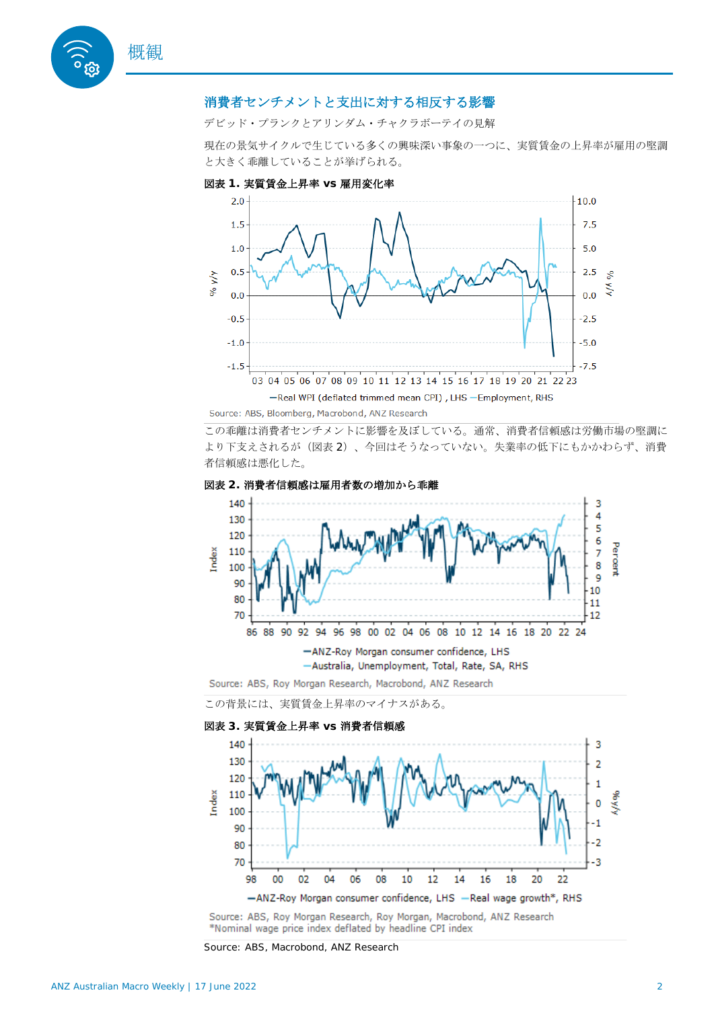

# 消費者センチメントと支出に対する相反する影響

デビッド・プランクとアリンダム・チャクラボーテイの見解

現在の景気サイクルで生じている多くの興味深い事象の一つに、実質賃金の上昇率が雇用の堅調 と大きく乖離していることが挙げられる。



この乖離は消費者センチメントに影響を及ぼしている。通常、消費者信頼感は労働市場の堅調に より下支えされるが(図表 2)、今回はそうなっていない。失業率の低下にもかかわらず、消費 者信頼感は悪化した。





Source: ABS, Roy Morgan Research, Roy Morgan, Macrobond, ANZ Research \*Nominal wage price index deflated by headline CPI index

Source: ABS, Macrobond, ANZ Research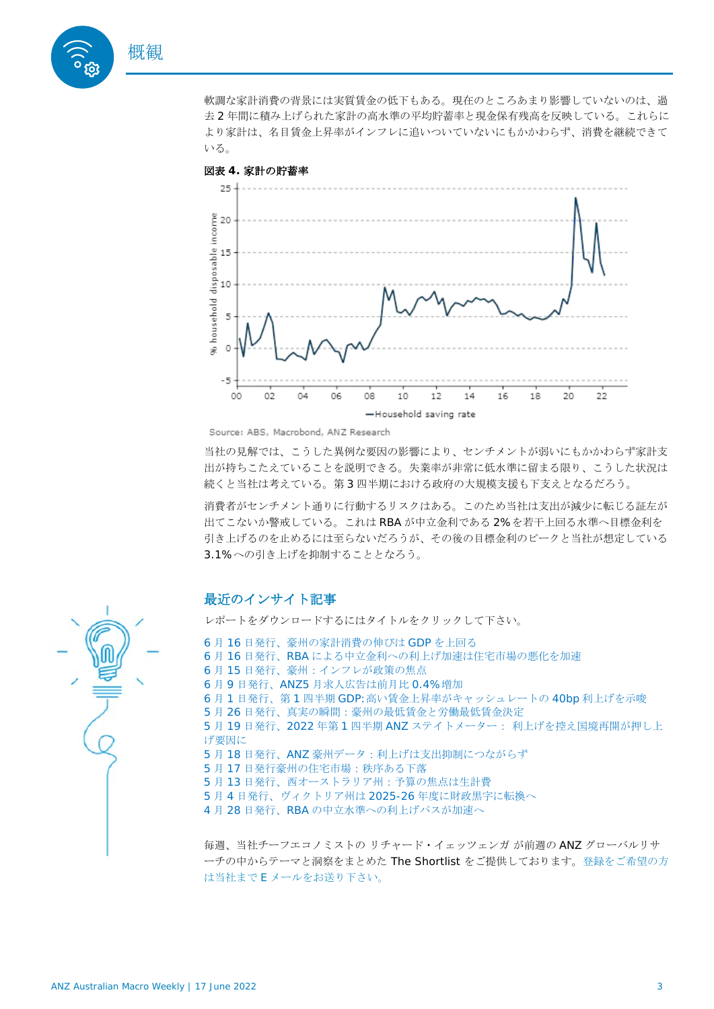

軟調な家計消費の背景には実質賃金の低下もある。現在のところあまり影響していないのは、過 去 2 年間に積み上げられた家計の高水準の平均貯蓄率と現金保有残高を反映している。これらに より家計は、名目賃金上昇率がインフレに追いついていないにもかかわらず、消費を継続できて いる。



#### 図表 **4.** 家計の貯蓄率

Source: ABS, Macrobond, ANZ Research

当社の見解では、こうした異例な要因の影響により、センチメントが弱いにもかかわらず家計支 出が持ちこたえていることを説明できる。失業率が非常に低水準に留まる限り、こうした状況は 続くと当社は考えている。第 3 四半期における政府の大規模支援も下支えとなるだろう。

消費者がセンチメント通りに行動するリスクはある。このため当社は支出が減少に転じる証左が 出てこないか警戒している。これは RBA が中立金利である 2%を若干上回る水準へ目標金利を 引き上げるのを止めるには至らないだろうが、その後の目標金利のピークと当社が想定している 3.1%への引き上げを抑制することとなろう。

# 最近のインサイト記事

レポートをダウンロードするにはタイトルをクリックして下さい。

- 6 月 16 [日発行、豪州の家計消費の伸びは](https://publications.anz.com/SingletrackCMS__DownloadDocument?uid=99702b34-f49e-4c62-b4d0-ba0205338c02&docRef=1e75f451-8b45-4123-b4ea-6c858bbc4806&jobRef=101dcbd4-f5cb-482b-b473-34f8ea82dfa3) GDP [を上回る](https://publications.anz.com/SingletrackCMS__DownloadDocument?uid=99702b34-f49e-4c62-b4d0-ba0205338c02&docRef=1e75f451-8b45-4123-b4ea-6c858bbc4806&jobRef=101dcbd4-f5cb-482b-b473-34f8ea82dfa3)
- 6 月 16 [日発行、](https://publications.anz.com/SingletrackCMS__DownloadDocument?uid=99702b34-f49e-4c62-b4d0-ba0205338c02&docRef=b43c9456-69fc-4676-9c7d-07b3f462e979&jobRef=943c972f-7b9b-4b23-971b-75550f8e0082)RBA [による中立金利への利上げ加速は住宅市場の悪化を加速](https://publications.anz.com/SingletrackCMS__DownloadDocument?uid=99702b34-f49e-4c62-b4d0-ba0205338c02&docRef=b43c9456-69fc-4676-9c7d-07b3f462e979&jobRef=943c972f-7b9b-4b23-971b-75550f8e0082)
- 6 月 [15](https://publications.anz.com/SingletrackCMS__DownloadDocument?uid=99702b34-f49e-4c62-b4d0-ba0205338c02&docRef=3cb3e967-353e-41ce-9b5b-b583c792914d&jobRef=fb853183-63a4-46f8-9eec-cd6effabfd00) [日発行、豪州:インフレが政策の焦点](https://publications.anz.com/SingletrackCMS__DownloadDocument?uid=99702b34-f49e-4c62-b4d0-ba0205338c02&docRef=3cb3e967-353e-41ce-9b5b-b583c792914d&jobRef=fb853183-63a4-46f8-9eec-cd6effabfd00)
- 6 月 9 日発行、ANZ5 [月求人広告は前月比](https://publications.anz.com/SingletrackCMS__DownloadDocument?uid=99702b34-f49e-4c62-b4d0-ba0205338c02&docRef=fc38cc8f-9c27-4986-98f1-35fb524cb793&jobRef=c1a9dce2-8f9a-4d8d-ad15-16972486e940) 0.4%[増加](https://publications.anz.com/SingletrackCMS__DownloadDocument?uid=99702b34-f49e-4c62-b4d0-ba0205338c02&docRef=fc38cc8f-9c27-4986-98f1-35fb524cb793&jobRef=c1a9dce2-8f9a-4d8d-ad15-16972486e940)
- 6 月 1 日発行、第 1 四半期 GDP:[高い賃金上昇率がキャッシュレートの](https://publications.anz.com/SingletrackCMS__DownloadDocument?uid=99702b34-f49e-4c62-b4d0-ba0205338c02&docRef=c1c9bc55-dd1d-4758-a58c-7a670d4e6ab6&jobRef=0c359439-f7d7-4b79-a5d3-555c44b29621) 40bp [利上げを示唆](https://publications.anz.com/SingletrackCMS__DownloadDocument?uid=99702b34-f49e-4c62-b4d0-ba0205338c02&docRef=c1c9bc55-dd1d-4758-a58c-7a670d4e6ab6&jobRef=0c359439-f7d7-4b79-a5d3-555c44b29621)
- 5 月 [26](https://publications.anz.com/SingletrackCMS__DownloadDocument?uid=99702b34-f49e-4c62-b4d0-ba0205338c02&docRef=91fe3a08-695e-4542-a69f-af27b8c546e1&jobRef=3f6e1f0d-2937-4e11-8ce2-e2606b1e073b) [日発行、真実の瞬間:豪州の最低賃金と労働最低賃金決定](https://publications.anz.com/SingletrackCMS__DownloadDocument?uid=99702b34-f49e-4c62-b4d0-ba0205338c02&docRef=91fe3a08-695e-4542-a69f-af27b8c546e1&jobRef=3f6e1f0d-2937-4e11-8ce2-e2606b1e073b)
- 5 月 19 日発行、2022 年第 1 四半期 ANZ ステイトメーター: [利上げを控え国境再開が押し上](https://publications.anz.com/SingletrackCMS__DownloadDocument?uid=99702b34-f49e-4c62-b4d0-ba0205338c02&docRef=4463694b-0420-4acd-8ada-c4f54373be83&jobRef=f1760ad6-6fb0-4cf2-8374-e292edcfaee2) [げ要因に](https://publications.anz.com/SingletrackCMS__DownloadDocument?uid=99702b34-f49e-4c62-b4d0-ba0205338c02&docRef=4463694b-0420-4acd-8ada-c4f54373be83&jobRef=f1760ad6-6fb0-4cf2-8374-e292edcfaee2)
- 5 月 18 [日発行、](https://publications.anz.com/SingletrackCMS__DownloadDocument?uid=99702b34-f49e-4c62-b4d0-ba0205338c02&docRef=e4565c71-8170-493c-a088-580e37a200b5&jobRef=c9a9be34-6fe2-4c06-9968-097be1590fe6)ANZ [豪州データ:利上げは支出抑制につながらず](https://publications.anz.com/SingletrackCMS__DownloadDocument?uid=99702b34-f49e-4c62-b4d0-ba0205338c02&docRef=e4565c71-8170-493c-a088-580e37a200b5&jobRef=c9a9be34-6fe2-4c06-9968-097be1590fe6)
- 5 月 [17](https://publications.anz.com/SingletrackCMS__DownloadDocument?uid=99702b34-f49e-4c62-b4d0-ba0205338c02&docRef=e0953e4a-4167-47c4-9085-6b2fcb2bc13c&jobRef=a2ee23b8-a428-48f2-b0dc-77a26b3cda7a) [日発行豪州の住宅市場:秩序ある下落](https://publications.anz.com/SingletrackCMS__DownloadDocument?uid=99702b34-f49e-4c62-b4d0-ba0205338c02&docRef=e0953e4a-4167-47c4-9085-6b2fcb2bc13c&jobRef=a2ee23b8-a428-48f2-b0dc-77a26b3cda7a)
- 5 月 [13](https://publications.anz.com/SingletrackCMS__DownloadDocument?uid=99702b34-f49e-4c62-b4d0-ba0205338c02&docRef=815ede90-c53c-4045-a336-9fbfc1f58b85&jobRef=06d42470-2e9b-4f96-a209-cf5c53abd6f5) [日発行、西オーストラリア州:予算の焦点は生計費](https://publications.anz.com/SingletrackCMS__DownloadDocument?uid=99702b34-f49e-4c62-b4d0-ba0205338c02&docRef=815ede90-c53c-4045-a336-9fbfc1f58b85&jobRef=06d42470-2e9b-4f96-a209-cf5c53abd6f5)
- 5 月 4 [日発行、ヴィクトリア州は](https://publications.anz.com/SingletrackCMS__DownloadDocument?uid=99702b34-f49e-4c62-b4d0-ba0205338c02&docRef=15e1ba97-05ca-4046-8099-be8ac39b2d9e&jobRef=91ee8e99-04e5-47e6-8996-c83a47300fca) 2025-26 [年度に財政黒字に転換へ](https://publications.anz.com/SingletrackCMS__DownloadDocument?uid=99702b34-f49e-4c62-b4d0-ba0205338c02&docRef=15e1ba97-05ca-4046-8099-be8ac39b2d9e&jobRef=91ee8e99-04e5-47e6-8996-c83a47300fca)
- 4 月 28 [日発行、](https://publications.anz.com/SingletrackCMS__DownloadDocument?uid=99702b34-f49e-4c62-b4d0-ba0205338c02&docRef=8b925338-dfbb-4a0f-b8f9-02577a3d82b0&jobRef=67006e9e-840a-4b93-a6c5-ceca52d07528)RBA [の中立水準への利上げパスが加速へ](https://publications.anz.com/SingletrackCMS__DownloadDocument?uid=99702b34-f49e-4c62-b4d0-ba0205338c02&docRef=8b925338-dfbb-4a0f-b8f9-02577a3d82b0&jobRef=67006e9e-840a-4b93-a6c5-ceca52d07528)

毎週、当社チーフエコノミストの リチャード・イェッツェンガ が前週の ANZ グローバルリサ ーチの中からテーマと洞察をまとめた The Shortlist をご提供しております[。登録をご希望の方](mailto:research@anz.com?subject=Subscribe%20to%20The%20Shortlist) は当社まで E [メールをお送り下さい。](mailto:research@anz.com?subject=Subscribe%20to%20The%20Shortlist)

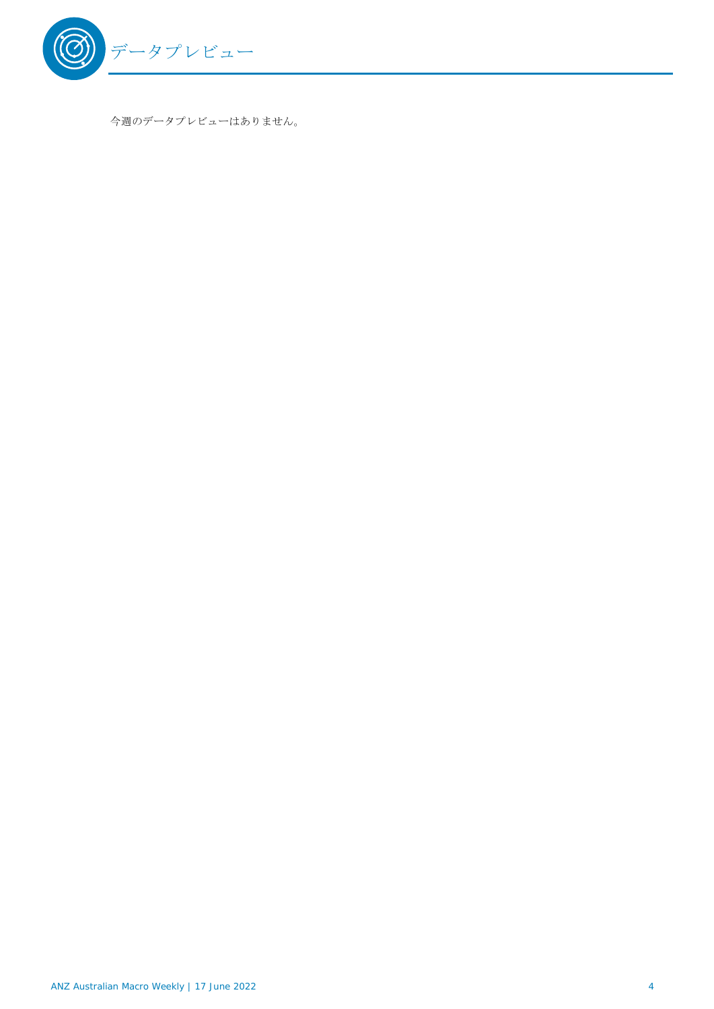

今週のデータプレビューはありません。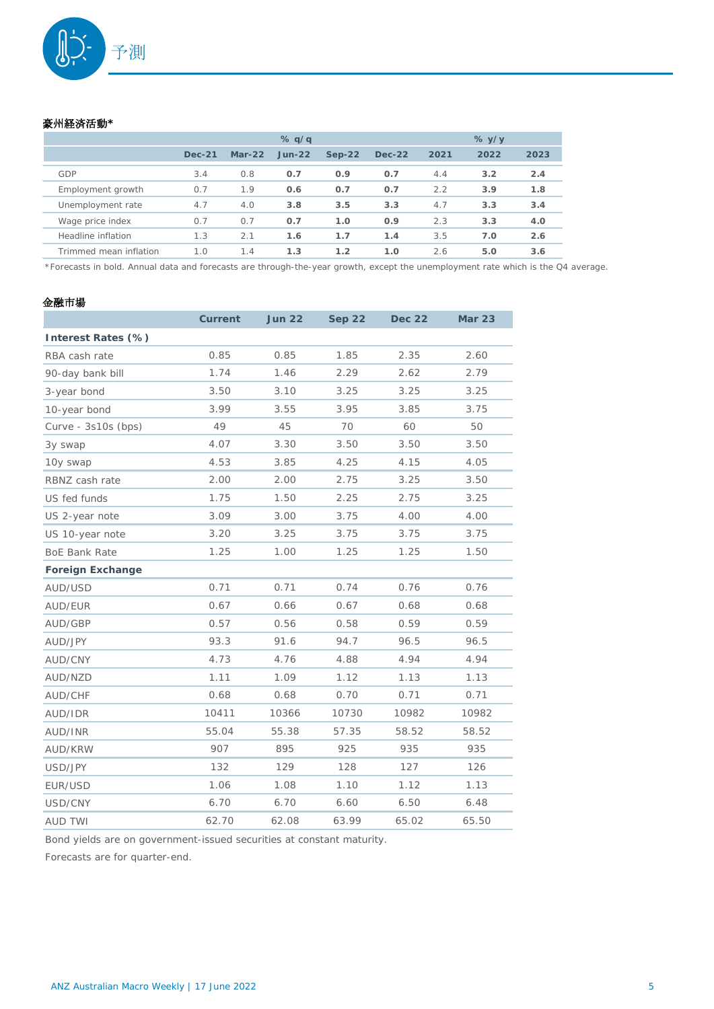

#### 豪州経済活動**\***

|                        |               |          | % q/q    |          |          |      | $%$ y/y |      |
|------------------------|---------------|----------|----------|----------|----------|------|---------|------|
|                        | <b>Dec-21</b> | $Mar-22$ | $Jun-22$ | $Sep-22$ | $Dec-22$ | 2021 | 2022    | 2023 |
| GDP                    | 3.4           | 0.8      | 0.7      | 0.9      | 0.7      | 4.4  | 3.2     | 2.4  |
| Employment growth      | 0.7           | 1.9      | 0.6      | 0.7      | 0.7      | 2.2  | 3.9     | 1.8  |
| Unemployment rate      | 4.7           | 4.0      | 3.8      | 3.5      | 3.3      | 4.7  | 3.3     | 3.4  |
| Wage price index       | 0.7           | 0.7      | 0.7      | 1.0      | 0.9      | 2.3  | 3.3     | 4.0  |
| Headline inflation     | 1.3           | 2.1      | 1.6      | 1.7      | 1.4      | 3.5  | 7.0     | 2.6  |
| Trimmed mean inflation | 1.0           | 1.4      | 1.3      | 1.2      | 1.0      | 2.6  | 5.0     | 3.6  |

\*Forecasts in bold. Annual data and forecasts are through-the-year growth, except the unemployment rate which is the Q4 average.

## 金融市場

|                         | <b>Current</b> | <b>Jun 22</b> | <b>Sep 22</b> | <b>Dec 22</b> | <b>Mar 23</b> |
|-------------------------|----------------|---------------|---------------|---------------|---------------|
| Interest Rates (%)      |                |               |               |               |               |
| RBA cash rate           | 0.85           | 0.85          | 1.85          | 2.35          | 2.60          |
| 90-day bank bill        | 1.74           | 1.46          | 2.29          | 2.62          | 2.79          |
| 3-year bond             | 3.50           | 3.10          | 3.25          | 3.25          | 3.25          |
| 10-year bond            | 3.99           | 3.55          | 3.95          | 3.85          | 3.75          |
| Curve - 3s10s (bps)     | 49             | 45            | 70            | 60            | 50            |
| 3y swap                 | 4.07           | 3.30          | 3.50          | 3.50          | 3.50          |
| 10y swap                | 4.53           | 3.85          | 4.25          | 4.15          | 4.05          |
| RBNZ cash rate          | 2.00           | 2.00          | 2.75          | 3.25          | 3.50          |
| US fed funds            | 1.75           | 1.50          | 2.25          | 2.75          | 3.25          |
| US 2-year note          | 3.09           | 3.00          | 3.75          | 4.00          | 4.00          |
| US 10-year note         | 3.20           | 3.25          | 3.75          | 3.75          | 3.75          |
| <b>BoE Bank Rate</b>    | 1.25           | 1.00          | 1.25          | 1.25          | 1.50          |
| <b>Foreign Exchange</b> |                |               |               |               |               |
| AUD/USD                 | 0.71           | 0.71          | 0.74          | 0.76          | 0.76          |
| AUD/EUR                 | 0.67           | 0.66          | 0.67          | 0.68          | 0.68          |
| AUD/GBP                 | 0.57           | 0.56          | 0.58          | 0.59          | 0.59          |
| AUD/JPY                 | 93.3           | 91.6          | 94.7          | 96.5          | 96.5          |
| AUD/CNY                 | 4.73           | 4.76          | 4.88          | 4.94          | 4.94          |
| AUD/NZD                 | 1.11           | 1.09          | 1.12          | 1.13          | 1.13          |
| AUD/CHF                 | 0.68           | 0.68          | 0.70          | 0.71          | 0.71          |
| AUD/IDR                 | 10411          | 10366         | 10730         | 10982         | 10982         |
| AUD/INR                 | 55.04          | 55.38         | 57.35         | 58.52         | 58.52         |
| AUD/KRW                 | 907            | 895           | 925           | 935           | 935           |
| USD/JPY                 | 132            | 129           | 128           | 127           | 126           |
| EUR/USD                 | 1.06           | 1.08          | 1.10          | 1.12          | 1.13          |
| USD/CNY                 | 6.70           | 6.70          | 6.60          | 6.50          | 6.48          |
| <b>AUD TWI</b>          | 62.70          | 62.08         | 63.99         | 65.02         | 65.50         |

Bond yields are on government-issued securities at constant maturity.

Forecasts are for quarter-end.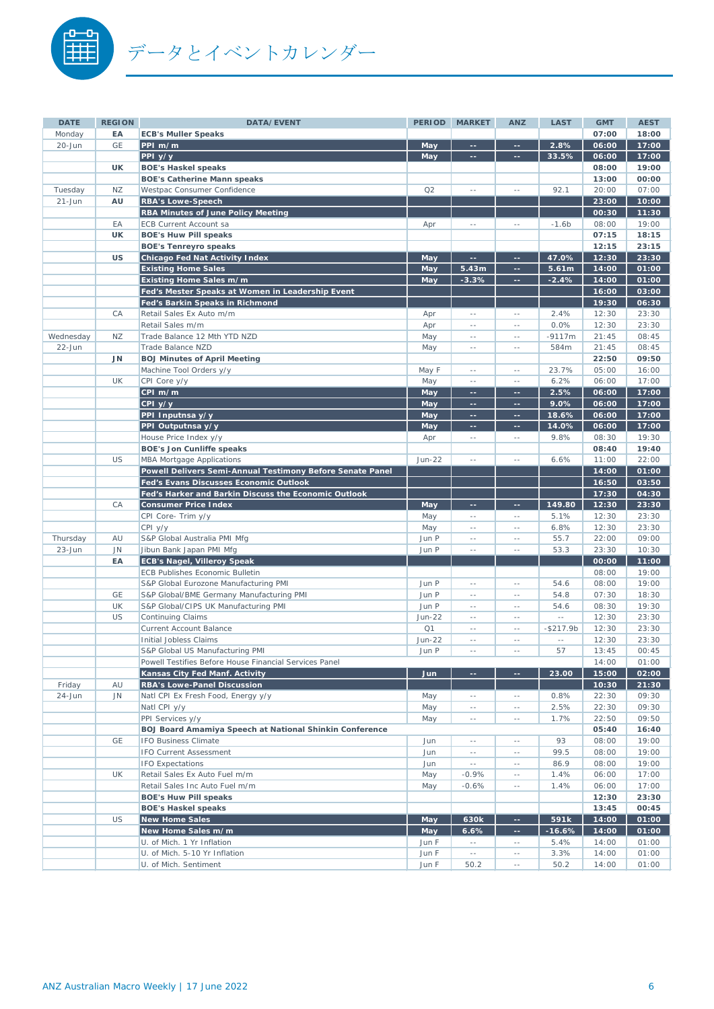

| <b>DATE</b> | <b>REGION</b> | DATA/EVENT                                                                  | <b>PERIOD</b> | <b>MARKET</b>         | <b>ANZ</b>               | <b>LAST</b>      | <b>GMT</b>     | <b>AEST</b>    |
|-------------|---------------|-----------------------------------------------------------------------------|---------------|-----------------------|--------------------------|------------------|----------------|----------------|
| Monday      | EA            | <b>ECB's Muller Speaks</b>                                                  |               |                       |                          |                  | 07:00          | 18:00          |
| 20-Jun      | GE            | PPI m/m                                                                     | May           | ÷÷.                   | ц.                       | 2.8%             | 06:00          | 17:00          |
|             |               | PPI y/y                                                                     | May           | $\rightarrow$         | --                       | 33.5%            | 06:00          | 17:00          |
|             | UK            | <b>BOE's Haskel speaks</b>                                                  |               |                       |                          |                  | 08:00          | 19:00          |
|             |               | <b>BOE's Catherine Mann speaks</b>                                          |               |                       |                          |                  | 13:00          | 00:00          |
| Tuesday     | ΝZ            | Westpac Consumer Confidence                                                 | Q2            | $\sim$                | $\sim$ $-$               | 92.1             | 20:00          | 07:00          |
| $21 - Jun$  | AU            | <b>RBA's Lowe-Speech</b>                                                    |               |                       |                          |                  | 23:00          | 10:00          |
|             |               | <b>RBA Minutes of June Policy Meeting</b>                                   |               |                       |                          |                  | 00:30          | 11:30          |
|             | EA            | ECB Current Account sa                                                      | Apr           | u.                    | $\sim$ $-$               | $-1.6b$          | 08:00          | 19:00          |
|             | UK            | <b>BOE's Huw Pill speaks</b>                                                |               |                       |                          |                  | 07:15          | 18:15          |
|             |               | <b>BOE's Tenreyro speaks</b>                                                |               |                       |                          |                  | 12:15          | 23:15          |
|             | <b>US</b>     | <b>Chicago Fed Nat Activity Index</b>                                       | May           | 44                    | 44                       | 47.0%            | 12:30          | 23:30          |
|             |               | <b>Existing Home Sales</b>                                                  | May           | 5.43m                 | $\sim$<br>$\sim$         | 5.61m<br>$-2.4%$ | 14:00          | 01:00          |
|             |               | Existing Home Sales m/m<br>Fed's Mester Speaks at Women in Leadership Event | May           | $-3.3%$               |                          |                  | 14:00<br>16:00 | 01:00<br>03:00 |
|             |               | Fed's Barkin Speaks in Richmond                                             |               |                       |                          |                  | 19:30          | 06:30          |
|             | CA            | Retail Sales Ex Auto m/m                                                    | Apr           | $\sim$ $-$            | $\sim$ $-$               | 2.4%             | 12:30          | 23:30          |
|             |               | Retail Sales m/m                                                            | Apr           | $-$                   | $\sim$ $\sim$            | 0.0%             | 12:30          | 23:30          |
| Wednesday   | NZ            | Trade Balance 12 Mth YTD NZD                                                | May           | $-$                   | $\sim$ $-$               | $-9117m$         | 21:45          | 08:45          |
| $22 - Jun$  |               | Trade Balance NZD                                                           | May           | $\overline{a}$        | $\sim$ $-$               | 584m             | 21:45          | 08:45          |
|             | JN            | <b>BOJ Minutes of April Meeting</b>                                         |               |                       |                          |                  | 22:50          | 09:50          |
|             |               | Machine Tool Orders y/y                                                     | May F         | $-$                   | $\sim$ $-$               | 23.7%            | 05:00          | 16:00          |
|             | <b>UK</b>     | CPI Core y/y                                                                | May           | $-$                   | $\sim$ $-$               | 6.2%             | 06:00          | 17:00          |
|             |               | CPI m/m                                                                     | May           | ц.                    | $\sim$                   | 2.5%             | 06:00          | 17:00          |
|             |               | $CPI$ $y/y$                                                                 | May           | ÷.                    | m.                       | 9.0%             | 06:00          | 17:00          |
|             |               | PPI Inputnsa y/y                                                            | May           | ÷.                    | m.                       | 18.6%            | 06:00          | 17:00          |
|             |               | PPI Outputnsa y/y                                                           | May           | 44                    | $\sim$                   | 14.0%            | 06:00          | 17:00          |
|             |               | House Price Index y/y                                                       | Apr           | $\sim$ $-$            | $\sim$ $-$               | 9.8%             | 08:30          | 19:30          |
|             |               | <b>BOE's Jon Cunliffe speaks</b>                                            |               |                       |                          |                  | 08:40          | 19:40          |
|             | US            | <b>MBA Mortgage Applications</b>                                            | <b>Jun-22</b> | $-$                   | $\sim$ $-$               | 6.6%             | 11:00          | 22:00          |
|             |               | Powell Delivers Semi-Annual Testimony Before Senate Panel                   |               |                       |                          |                  | 14:00          | 01:00          |
|             |               | Fed's Evans Discusses Economic Outlook                                      |               |                       |                          |                  | 16:50          | 03:50          |
|             |               | Fed's Harker and Barkin Discuss the Economic Outlook                        |               |                       |                          |                  | 17:30          | 04:30          |
|             | CA            | <b>Consumer Price Index</b>                                                 | May           | 44<br>$\sim$ $-$      | --<br>$\sim$ $-$         | 149.80<br>5.1%   | 12:30<br>12:30 | 23:30<br>23:30 |
|             |               | CPI Core- Trim y/y<br>CPI y/y                                               | May<br>May    | $-$                   | $\sim$ $-$               | 6.8%             | 12:30          | 23:30          |
| Thursday    | AU            | S&P Global Australia PMI Mfg                                                | Jun P         | ă.                    | $\sim$ $-$               | 55.7             | 22:00          | 09:00          |
| $23 - Jun$  | <b>JN</b>     | Jibun Bank Japan PMI Mfg                                                    | Jun P         | $\sim$                | $\sim$ $-$               | 53.3             | 23:30          | 10:30          |
|             | EA            | <b>ECB's Nagel, Villeroy Speak</b>                                          |               |                       |                          |                  | 00:00          | 11:00          |
|             |               | <b>ECB Publishes Economic Bulletin</b>                                      |               |                       |                          |                  | 08:00          | 19:00          |
|             |               | S&P Global Eurozone Manufacturing PMI                                       | Jun P         | u.                    | $\sim$ $-$               | 54.6             | 08:00          | 19:00          |
|             | GE            | S&P Global/BME Germany Manufacturing PMI                                    | Jun P         | $\sim$                | $\sim$ $-$               | 54.8             | 07:30          | 18:30          |
|             | <b>UK</b>     | S&P Global/CIPS UK Manufacturing PMI                                        | Jun P         | $\sim$ $-$            | $\sim$ $-$               | 54.6             | 08:30          | 19:30          |
|             | US            | <b>Continuing Claims</b>                                                    | <b>Jun-22</b> | $-$                   | $\sim$ $-$               | $\sim$ $\sim$    | 12:30          | 23:30          |
|             |               | <b>Current Account Balance</b>                                              | Q1            | $-$                   | $\sim$ $-$               | $-$217.9b$       | 12:30          | 23:30          |
|             |               | Initial Jobless Claims                                                      | <b>Jun-22</b> | $\sim$ $\sim$         | $\sim$ $-$               | $\sim$ $-$       | 12:30          | 23:30          |
|             |               | S&P Global US Manufacturing PMI                                             | Jun P         | $\sim$                | $\sim$ $-$               | 57               | 13:45          | 00:45          |
|             |               | Powell Testifies Before House Financial Services Panel                      |               |                       |                          |                  | 14:00          | 01:00          |
|             |               | Kansas City Fed Manf. Activity                                              | Jun           | ц,                    | ÷.                       | 23.00            | 15:00          | 02:00          |
| Friday      | AU            | <b>RBA's Lowe-Panel Discussion</b>                                          |               |                       |                          |                  | 10:30          | 21:30          |
| 24-Jun      | JN            | Natl CPI Ex Fresh Food, Energy y/y                                          | May           | $\sim$ $-$            | $\sim$ $\sim$            | 0.8%             | 22:30          | 09:30          |
|             |               | Natl CPI y/y                                                                | May           | $\sim$ $-$            | $\sim$ $-$               | 2.5%             | 22:30          | 09:30          |
|             |               | PPI Services y/y                                                            | May           | $\sim$ $-$            | $\sim$ $-$               | 1.7%             | 22:50          | 09:50          |
|             |               | BOJ Board Amamiya Speech at National Shinkin Conference                     |               |                       |                          |                  | 05:40          | 16:40          |
|             | GE            | <b>IFO Business Climate</b>                                                 | Jun           | $\sim$ $-$            | $\sim$ $-$               | 93               | 08:00          | 19:00          |
|             |               | IFO Current Assessment<br><b>IFO Expectations</b>                           | Jun           | $\sim$ $-$            | $\sim$ $-$               | 99.5<br>86.9     | 08:00<br>08:00 | 19:00<br>19:00 |
|             | UK            | Retail Sales Ex Auto Fuel m/m                                               | Jun<br>May    | $\sim$ $-$<br>$-0.9%$ | $\sim$ $-$<br>$\sim$ $-$ | 1.4%             | 06:00          | 17:00          |
|             |               | Retail Sales Inc Auto Fuel m/m                                              | May           | $-0.6%$               | $\sim$ $-$               | 1.4%             | 06:00          | 17:00          |
|             |               | <b>BOE's Huw Pill speaks</b>                                                |               |                       |                          |                  | 12:30          | 23:30          |
|             |               | <b>BOE's Haskel speaks</b>                                                  |               |                       |                          |                  | 13:45          | 00:45          |
|             | <b>US</b>     | <b>New Home Sales</b>                                                       | May           | 630k                  | $\sim$ $\sim$            | 591k             | 14:00          | 01:00          |
|             |               | New Home Sales m/m                                                          | May           | 6.6%                  | $\sim$                   | $-16.6%$         | 14:00          | 01:00          |
|             |               | U. of Mich. 1 Yr Inflation                                                  | Jun F         | $\sim$ $-$            | $\sim$ $-$               | 5.4%             | 14:00          | 01:00          |
|             |               | U. of Mich. 5-10 Yr Inflation                                               | Jun F         | $\sim$ $-$            | $\sim$ $-$               | 3.3%             | 14:00          | 01:00          |
|             |               | U. of Mich. Sentiment                                                       | Jun F         | 50.2                  | $\sim$ $-$               | 50.2             | 14:00          | 01:00          |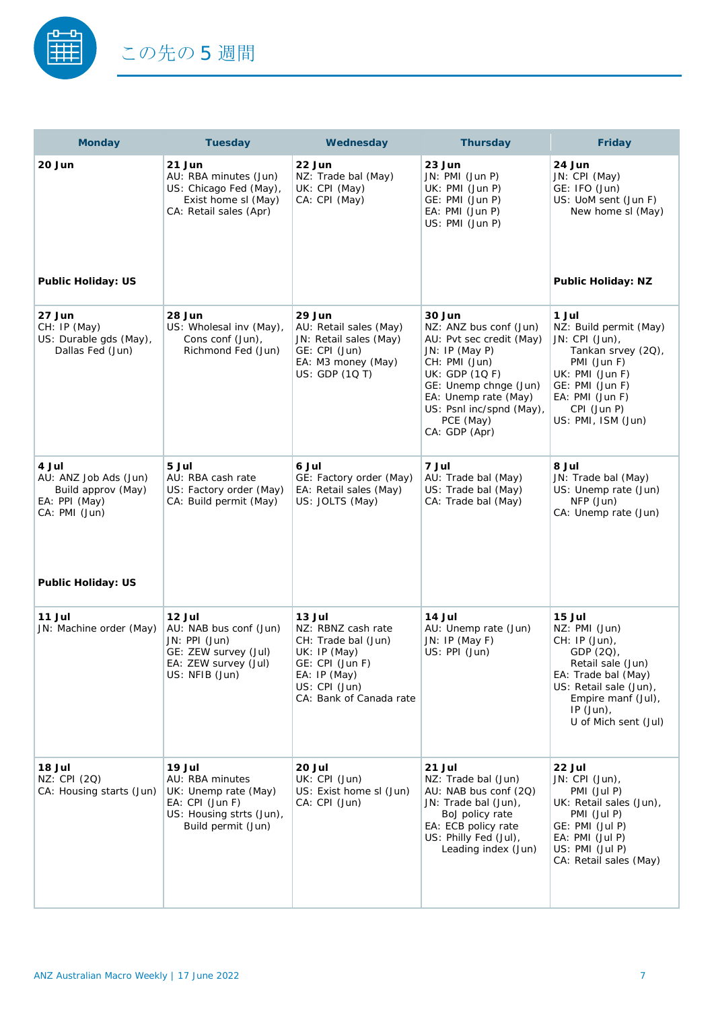

| <b>Monday</b>                                                                          | <b>Tuesday</b>                                                                                                         | Wednesday                                                                                                                                          | <b>Thursday</b>                                                                                                                                                                                                             | Friday                                                                                                                                                                                   |
|----------------------------------------------------------------------------------------|------------------------------------------------------------------------------------------------------------------------|----------------------------------------------------------------------------------------------------------------------------------------------------|-----------------------------------------------------------------------------------------------------------------------------------------------------------------------------------------------------------------------------|------------------------------------------------------------------------------------------------------------------------------------------------------------------------------------------|
| 20 Jun                                                                                 | 21 Jun<br>AU: RBA minutes (Jun)<br>US: Chicago Fed (May),<br>Exist home sl (May)<br>CA: Retail sales (Apr)             | 22 Jun<br>NZ: Trade bal (May)<br>UK: CPI (May)<br>CA: CPI (May)                                                                                    | 23 Jun<br>JN: PMI (Jun P)<br>UK: PMI (Jun P)<br>GE: PMI (Jun P)<br>EA: PMI (Jun P)<br>US: PMI (Jun P)                                                                                                                       | 24 Jun<br>JN: CPI (May)<br>GE: IFO (Jun)<br>US: UoM sent (Jun F)<br>New home sl (May)                                                                                                    |
| <b>Public Holiday: US</b>                                                              |                                                                                                                        |                                                                                                                                                    |                                                                                                                                                                                                                             | <b>Public Holiday: NZ</b>                                                                                                                                                                |
| 27 Jun<br>CH: IP (May)<br>US: Durable gds (May),<br>Dallas Fed (Jun)                   | 28 Jun<br>US: Wholesal inv (May),<br>Cons conf (Jun),<br>Richmond Fed (Jun)                                            | 29 Jun<br>AU: Retail sales (May)<br>JN: Retail sales (May)<br>GE: CPI (Jun)<br>EA: M3 money (May)<br>US: GDP (1Q T)                                | 30 Jun<br>NZ: ANZ bus conf (Jun)<br>AU: Pvt sec credit (May)<br>JN: IP (May P)<br>CH: PMI (Jun)<br>UK: GDP (1QF)<br>GE: Unemp chnge (Jun)<br>EA: Unemp rate (May)<br>US: Psnl inc/spnd (May),<br>PCE (May)<br>CA: GDP (Apr) | 1 Jul<br>NZ: Build permit (May)<br>JN: CPI (Jun),<br>Tankan srvey (20),<br>PMI (Jun F)<br>UK: PMI (Jun F)<br>GE: PMI (Jun F)<br>EA: PMI (Jun F)<br>CPI (Jun P)<br>US: PMI, ISM (Jun)     |
| 4 Jul<br>AU: ANZ Job Ads (Jun)<br>Build approv (May)<br>EA: PPI (May)<br>CA: PMI (Jun) | 5 Jul<br>AU: RBA cash rate<br>US: Factory order (May)<br>CA: Build permit (May)                                        | 6 Jul<br>GE: Factory order (May)<br>EA: Retail sales (May)<br>US: JOLTS (May)                                                                      | 7 Jul<br>AU: Trade bal (May)<br>US: Trade bal (May)<br>CA: Trade bal (May)                                                                                                                                                  | <b>8 Jul</b><br>JN: Trade bal (May)<br>US: Unemp rate (Jun)<br>NFP (Jun)<br>CA: Unemp rate (Jun)                                                                                         |
| <b>Public Holiday: US</b>                                                              |                                                                                                                        |                                                                                                                                                    |                                                                                                                                                                                                                             |                                                                                                                                                                                          |
| 11 Jul<br>JN: Machine order (May)                                                      | 12 Jul<br>AU: NAB bus conf (Jun)<br>JN: PPI (Jun)<br>GE: ZEW survey (Jul)<br>EA: ZEW survey (Jul)<br>US: NFIB (Jun)    | 13 Jul<br>NZ: RBNZ cash rate<br>CH: Trade bal (Jun)<br>UK: IP (May)<br>GE: CPI (Jun F)<br>EA: IP (May)<br>US: CPI (Jun)<br>CA: Bank of Canada rate | 14 Jul<br>AU: Unemp rate (Jun)<br>JN: IP (May F)<br>US: PPI (Jun)                                                                                                                                                           | 15 Jul<br>NZ: PMI (Jun)<br>CH: IP (Jun),<br>GDP (2Q),<br>Retail sale (Jun)<br>EA: Trade bal (May)<br>US: Retail sale (Jun),<br>Empire manf (Jul),<br>$IP$ (Jun),<br>U of Mich sent (Jul) |
| 18 Jul<br>NZ: CPI (2Q)<br>CA: Housing starts (Jun)                                     | 19 Jul<br>AU: RBA minutes<br>UK: Unemp rate (May)<br>EA: CPI (Jun F)<br>US: Housing strts (Jun),<br>Build permit (Jun) | 20 Jul<br>UK: CPI (Jun)<br>US: Exist home sl (Jun)<br>CA: CPI (Jun)                                                                                | 21 Jul<br>NZ: Trade bal (Jun)<br>AU: NAB bus conf (2Q)<br>JN: Trade bal (Jun),<br>BoJ policy rate<br>EA: ECB policy rate<br>US: Philly Fed (Jul),<br>Leading index (Jun)                                                    | 22 Jul<br>JN: CPI (Jun),<br>PMI (Jul P)<br>UK: Retail sales (Jun),<br>PMI (Jul P)<br>GE: PMI (Jul P)<br>$EA: PMI$ (Jul P)<br>US: PMI (Jul P)<br>CA: Retail sales (May)                   |